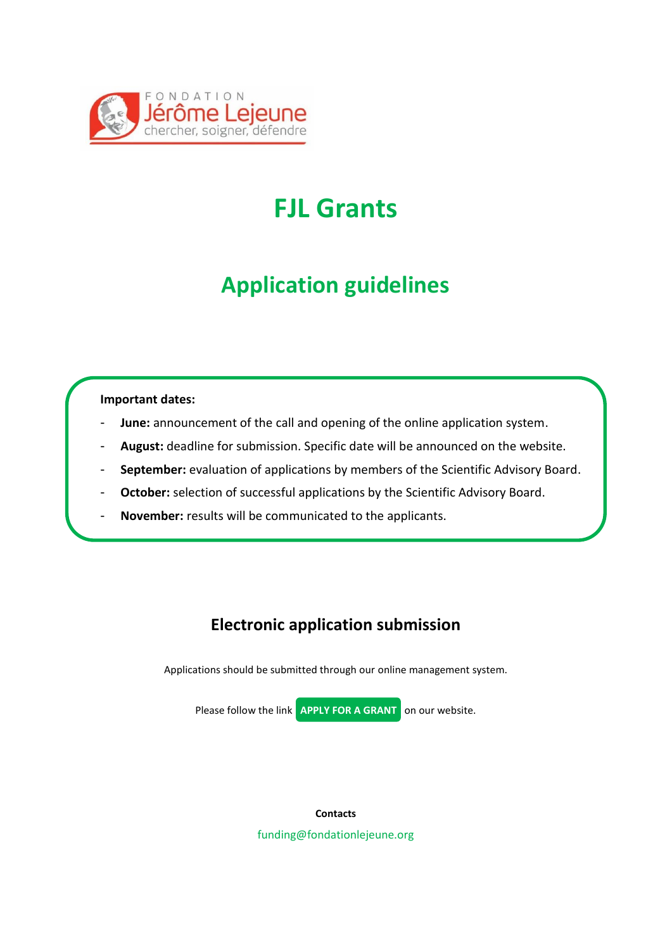

## **FJL Grants**

## **Application guidelines**

### **Important dates:**

- **June:** announcement of the call and opening of the online application system.
- August: deadline for submission. Specific date will be announced on the website.
- September: evaluation of applications by members of the Scientific Advisory Board.
- October: selection of successful applications by the Scientific Advisory Board.
- **November:** results will be communicated to the applicants.

### **Electronic application submission**

Applications should be submitted through our online management system.



**Contacts** funding@fondationlejeune.org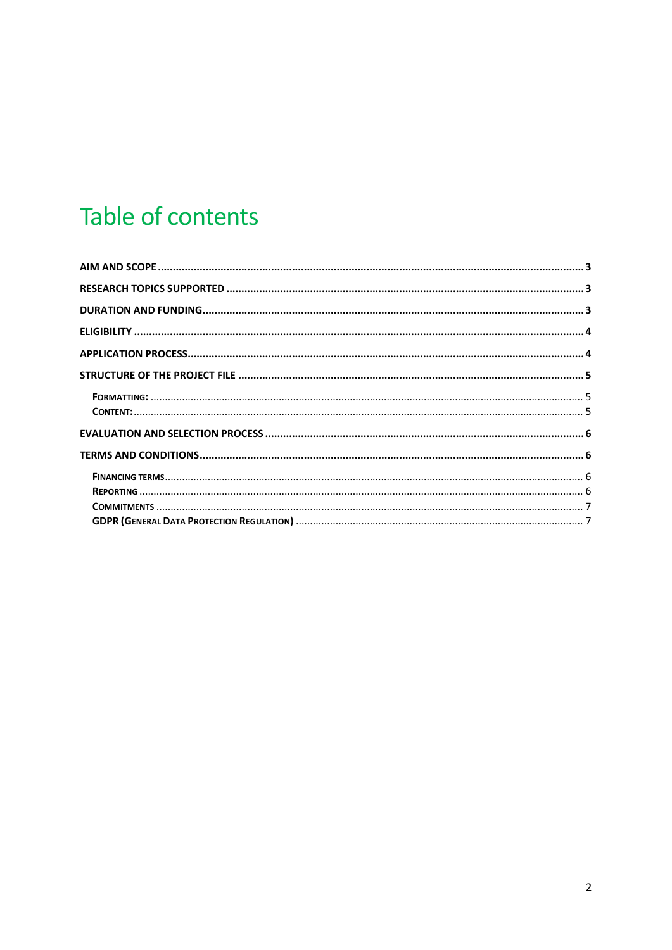## Table of contents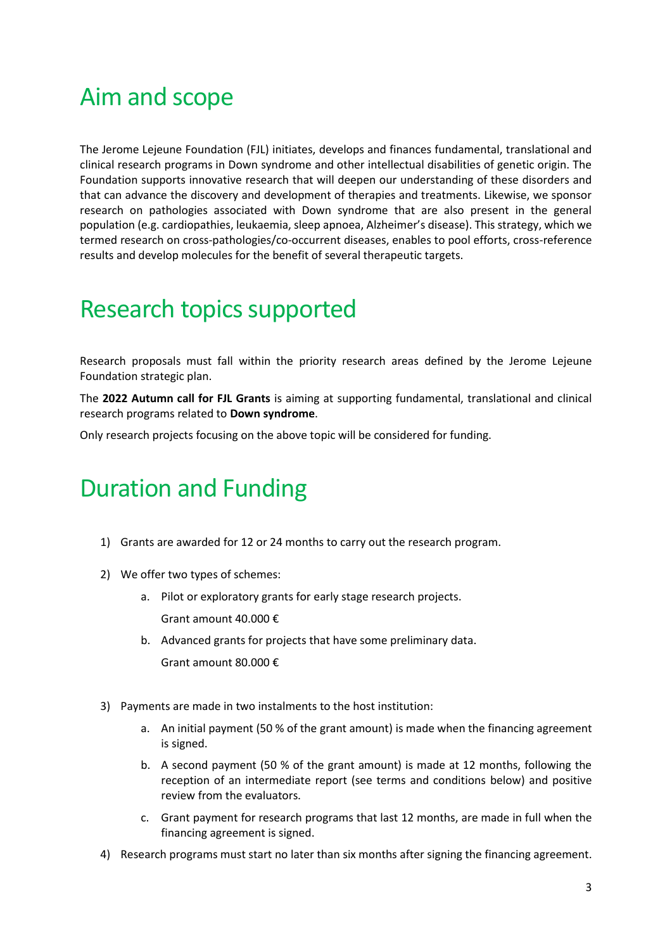## <span id="page-2-0"></span>Aim and scope

The Jerome Lejeune Foundation (FJL) initiates, develops and finances fundamental, translational and clinical research programs in Down syndrome and other intellectual disabilities of genetic origin. The Foundation supports innovative research that will deepen our understanding of these disorders and that can advance the discovery and development of therapies and treatments. Likewise, we sponsor research on pathologies associated with Down syndrome that are also present in the general population (e.g. cardiopathies, leukaemia, sleep apnoea, Alzheimer's disease). This strategy, which we termed research on cross-pathologies/co-occurrent diseases, enables to pool efforts, cross-reference results and develop molecules for the benefit of several therapeutic targets.

### <span id="page-2-1"></span>Research topics supported

Research proposals must fall within the priority research areas defined by the Jerome Lejeune Foundation strategic plan.

The **2022 Autumn call for FJL Grants** is aiming at supporting fundamental, translational and clinical research programs related to **Down syndrome**.

Only research projects focusing on the above topic will be considered for funding.

## <span id="page-2-2"></span>Duration and Funding

- 1) Grants are awarded for 12 or 24 months to carry out the research program.
- 2) We offer two types of schemes:
	- a. Pilot or exploratory grants for early stage research projects. Grant amount 40.000 €
	- b. Advanced grants for projects that have some preliminary data. Grant amount 80.000 €
- 3) Payments are made in two instalments to the host institution:
	- a. An initial payment (50 % of the grant amount) is made when the financing agreement is signed.
	- b. A second payment (50 % of the grant amount) is made at 12 months, following the reception of an intermediate report (see terms and conditions below) and positive review from the evaluators.
	- c. Grant payment for research programs that last 12 months, are made in full when the financing agreement is signed.
- 4) Research programs must start no later than six months after signing the financing agreement.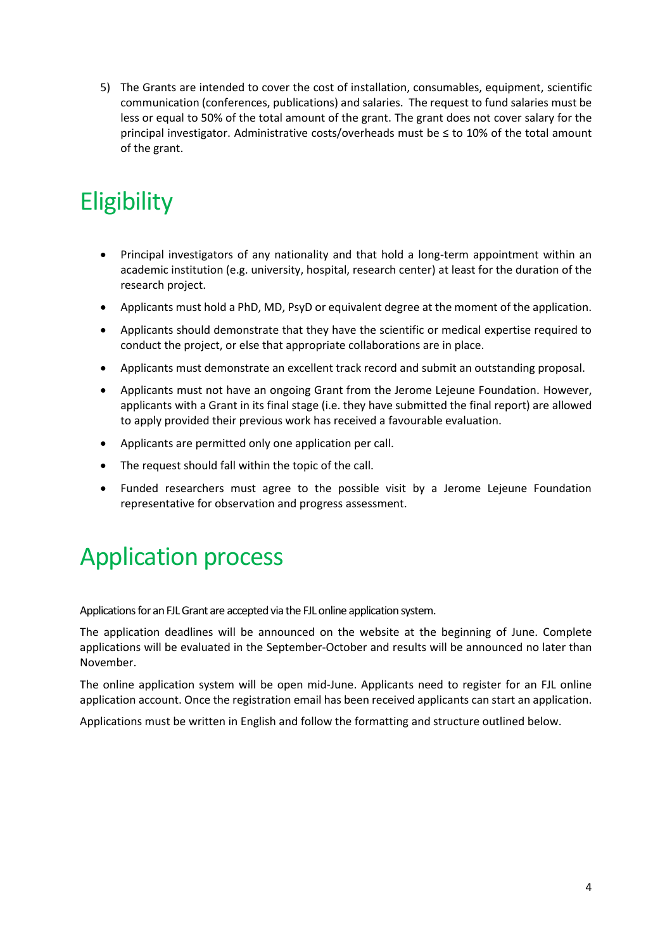5) The Grants are intended to cover the cost of installation, consumables, equipment, scientific communication (conferences, publications) and salaries. The request to fund salaries must be less or equal to 50% of the total amount of the grant. The grant does not cover salary for the principal investigator. Administrative costs/overheads must be ≤ to 10% of the total amount of the grant.

## <span id="page-3-0"></span>**Eligibility**

- Principal investigators of any nationality and that hold a long-term appointment within an academic institution (e.g. university, hospital, research center) at least for the duration of the research project.
- Applicants must hold a PhD, MD, PsyD or equivalent degree at the moment of the application.
- Applicants should demonstrate that they have the scientific or medical expertise required to conduct the project, or else that appropriate collaborations are in place.
- Applicants must demonstrate an excellent track record and submit an outstanding proposal.
- Applicants must not have an ongoing Grant from the Jerome Lejeune Foundation. However, applicants with a Grant in its final stage (i.e. they have submitted the final report) are allowed to apply provided their previous work has received a favourable evaluation.
- Applicants are permitted only one application per call.
- The request should fall within the topic of the call.
- Funded researchers must agree to the possible visit by a Jerome Lejeune Foundation representative for observation and progress assessment.

## <span id="page-3-1"></span>Application process

Applications for an FJL Grant are accepted via the FJL online application system.

The application deadlines will be announced on the website at the beginning of June. Complete applications will be evaluated in the September-October and results will be announced no later than November.

The online application system will be open mid-June. Applicants need to register for an FJL online application account. Once the registration email has been received applicants can start an application.

Applications must be written in English and follow the formatting and structure outlined below.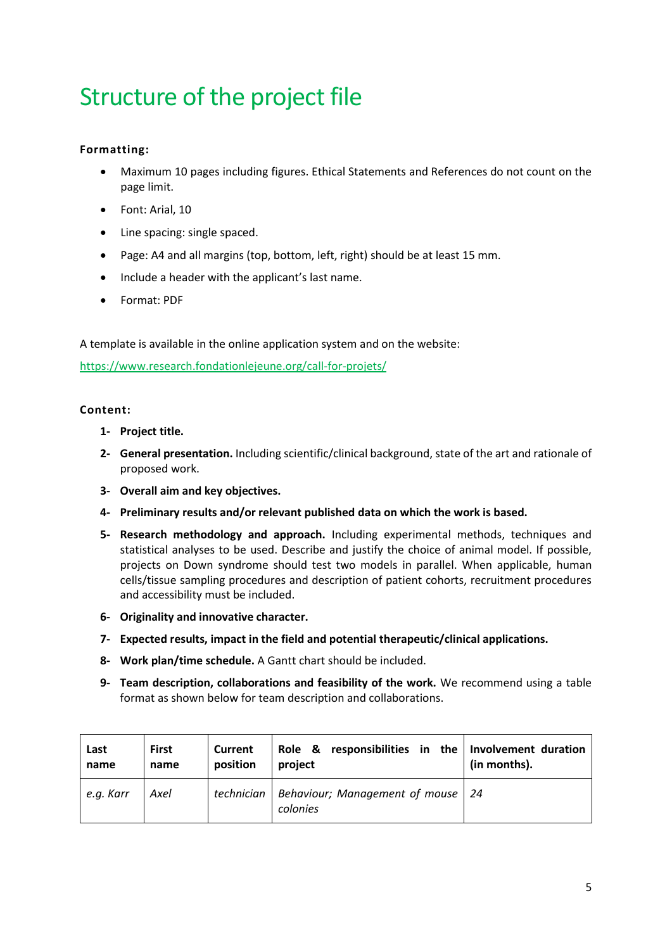# <span id="page-4-0"></span>Structure of the project file

### <span id="page-4-1"></span>**Formatting:**

- Maximum 10 pages including figures. Ethical Statements and References do not count on the page limit.
- Font: Arial, 10
- Line spacing: single spaced.
- Page: A4 and all margins (top, bottom, left, right) should be at least 15 mm.
- Include a header with the applicant's last name.
- Format: PDF

A template is available in the online application system and on the website:

<https://www.research.fondationlejeune.org/call-for-projets/>

### <span id="page-4-2"></span>**Content:**

- **1- Project title.**
- **2- General presentation.** Including scientific/clinical background, state of the art and rationale of proposed work.
- **3- Overall aim and key objectives.**
- **4- Preliminary results and/or relevant published data on which the work is based.**
- **5- Research methodology and approach.** Including experimental methods, techniques and statistical analyses to be used. Describe and justify the choice of animal model. If possible, projects on Down syndrome should test two models in parallel. When applicable, human cells/tissue sampling procedures and description of patient cohorts, recruitment procedures and accessibility must be included.
- **6- Originality and innovative character.**
- **7- Expected results, impact in the field and potential therapeutic/clinical applications.**
- **8- Work plan/time schedule.** A Gantt chart should be included.
- **9- Team description, collaborations and feasibility of the work.** We recommend using a table format as shown below for team description and collaborations.

| Last      | <b>First</b> | Current    | Role & responsibilities in the Involvement duration | (in months). |
|-----------|--------------|------------|-----------------------------------------------------|--------------|
| name      | name         | position   | project                                             |              |
| e.g. Karr | Axel         | technician | Behaviour; Management of mouse   24<br>colonies     |              |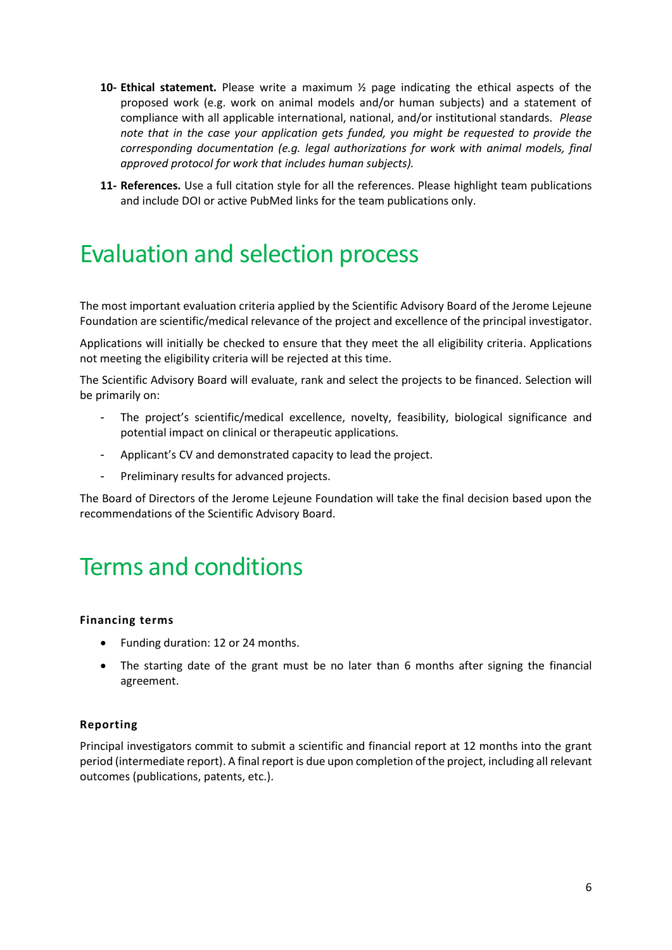- **10- Ethical statement.** Please write a maximum ½ page indicating the ethical aspects of the proposed work (e.g. work on animal models and/or human subjects) and a statement of compliance with all applicable international, national, and/or institutional standards. *Please note that in the case your application gets funded, you might be requested to provide the corresponding documentation (e.g. legal authorizations for work with animal models, final approved protocol for work that includes human subjects).*
- **11- References.** Use a full citation style for all the references. Please highlight team publications and include DOI or active PubMed links for the team publications only.

## <span id="page-5-0"></span>Evaluation and selection process

The most important evaluation criteria applied by the Scientific Advisory Board of the Jerome Lejeune Foundation are scientific/medical relevance of the project and excellence of the principal investigator.

Applications will initially be checked to ensure that they meet the all eligibility criteria. Applications not meeting the eligibility criteria will be rejected at this time.

The Scientific Advisory Board will evaluate, rank and select the projects to be financed. Selection will be primarily on:

- The project's scientific/medical excellence, novelty, feasibility, biological significance and potential impact on clinical or therapeutic applications.
- Applicant's CV and demonstrated capacity to lead the project.
- Preliminary results for advanced projects.

The Board of Directors of the Jerome Lejeune Foundation will take the final decision based upon the recommendations of the Scientific Advisory Board.

## <span id="page-5-1"></span>Terms and conditions

#### <span id="page-5-2"></span>**Financing terms**

- Funding duration: 12 or 24 months.
- The starting date of the grant must be no later than 6 months after signing the financial agreement.

#### <span id="page-5-3"></span>**Reporting**

Principal investigators commit to submit a scientific and financial report at 12 months into the grant period (intermediate report). A final report is due upon completion of the project, including all relevant outcomes (publications, patents, etc.).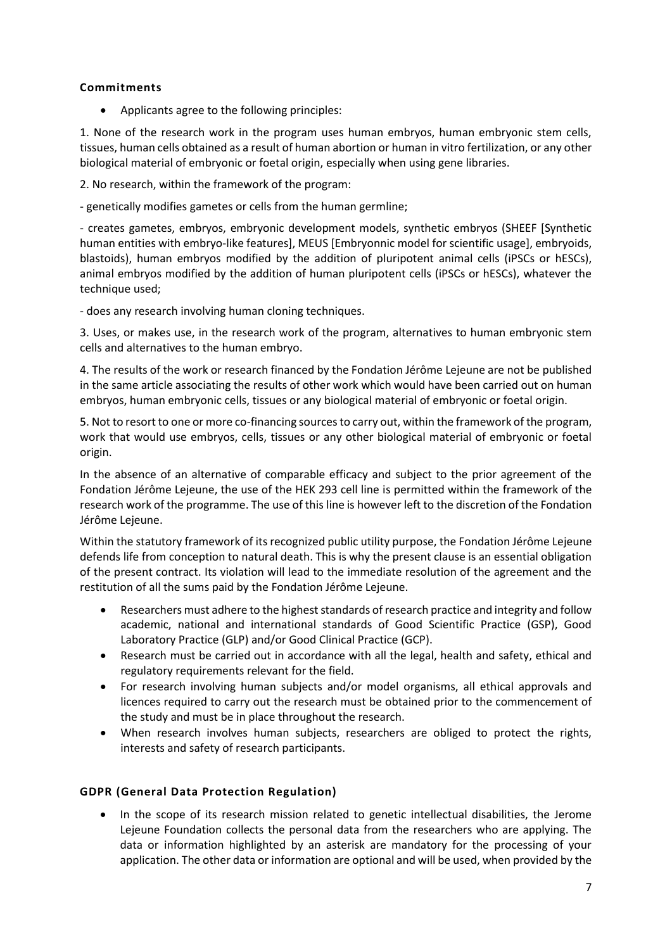#### <span id="page-6-0"></span>**Commitments**

• Applicants agree to the following principles:

1. None of the research work in the program uses human embryos, human embryonic stem cells, tissues, human cells obtained as a result of human abortion or human in vitro fertilization, or any other biological material of embryonic or foetal origin, especially when using gene libraries.

2. No research, within the framework of the program:

- genetically modifies gametes or cells from the human germline;

- creates gametes, embryos, embryonic development models, synthetic embryos (SHEEF [Synthetic human entities with embryo-like features], MEUS [Embryonnic model for scientific usage], embryoids, blastoids), human embryos modified by the addition of pluripotent animal cells (iPSCs or hESCs), animal embryos modified by the addition of human pluripotent cells (iPSCs or hESCs), whatever the technique used;

- does any research involving human cloning techniques.

3. Uses, or makes use, in the research work of the program, alternatives to human embryonic stem cells and alternatives to the human embryo.

4. The results of the work or research financed by the Fondation Jérôme Lejeune are not be published in the same article associating the results of other work which would have been carried out on human embryos, human embryonic cells, tissues or any biological material of embryonic or foetal origin.

5. Not to resort to one or more co-financing sources to carry out, within the framework of the program, work that would use embryos, cells, tissues or any other biological material of embryonic or foetal origin.

In the absence of an alternative of comparable efficacy and subject to the prior agreement of the Fondation Jérôme Lejeune, the use of the HEK 293 cell line is permitted within the framework of the research work of the programme. The use of this line is however left to the discretion of the Fondation Jérôme Lejeune.

Within the statutory framework of its recognized public utility purpose, the Fondation Jérôme Lejeune defends life from conception to natural death. This is why the present clause is an essential obligation of the present contract. Its violation will lead to the immediate resolution of the agreement and the restitution of all the sums paid by the Fondation Jérôme Lejeune.

- Researchers must adhere to the highest standards of research practice and integrity and follow academic, national and international standards of Good Scientific Practice (GSP), Good Laboratory Practice (GLP) and/or Good Clinical Practice (GCP).
- Research must be carried out in accordance with all the legal, health and safety, ethical and regulatory requirements relevant for the field.
- For research involving human subjects and/or model organisms, all ethical approvals and licences required to carry out the research must be obtained prior to the commencement of the study and must be in place throughout the research.
- When research involves human subjects, researchers are obliged to protect the rights, interests and safety of research participants.

### <span id="page-6-1"></span>**GDPR (General Data Protection Regulation)**

• In the scope of its research mission related to genetic intellectual disabilities, the Jerome Lejeune Foundation collects the personal data from the researchers who are applying. The data or information highlighted by an asterisk are mandatory for the processing of your application. The other data or information are optional and will be used, when provided by the